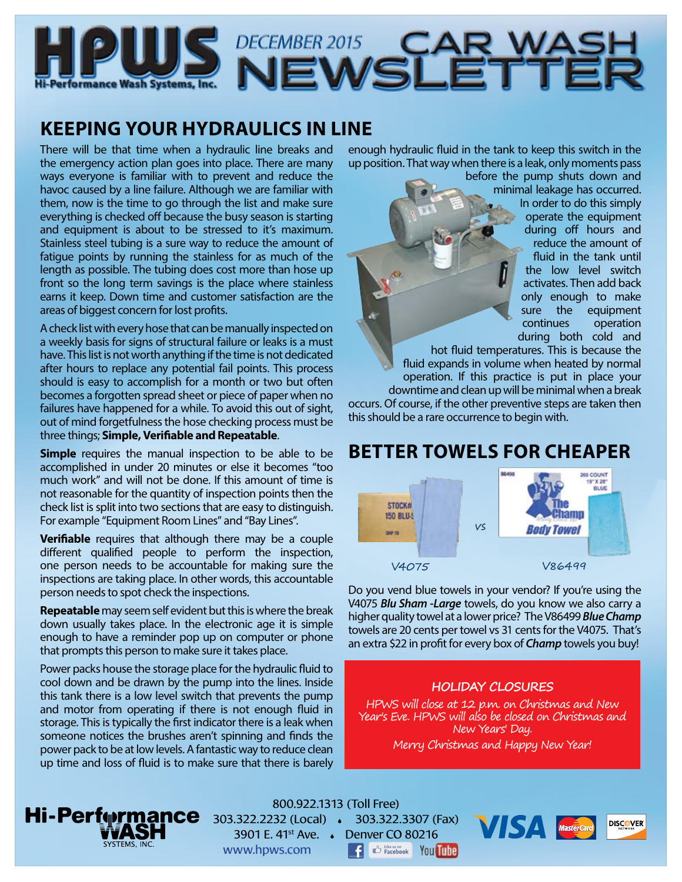

# DECEMBER 2015<br>NEWSLETTE

## **KEEPING YOUR HYDRAULICS IN LINE**

There will be that time when a hydraulic line breaks and the emergency action plan goes into place. There are many ways everyone is familiar with to prevent and reduce the havoc caused by a line failure. Although we are familiar with them, now is the time to go through the list and make sure everything is checked off because the busy season is starting and equipment is about to be stressed to it's maximum. Stainless steel tubing is a sure way to reduce the amount of fatigue points by running the stainless for as much of the length as possible. The tubing does cost more than hose up front so the long term savings is the place where stainless earns it keep. Down time and customer satisfaction are the areas of biggest concern for lost profits.

A check list with every hose that can be manually inspected on a weekly basis for signs of structural failure or leaks is a must have. This list is not worth anything if the time is not dedicated after hours to replace any potential fail points. This process should is easy to accomplish for a month or two but often becomes a forgotten spread sheet or piece of paper when no failures have happened for a while. To avoid this out of sight, out of mind forgetfulness the hose checking process must be three things; **Simple, Verifiable and Repeatable**.

**Simple** requires the manual inspection to be able to be accomplished in under 20 minutes or else it becomes "too much work" and will not be done. If this amount of time is not reasonable for the quantity of inspection points then the check list is split into two sections that are easy to distinguish. For example "Equipment Room Lines" and "Bay Lines".

**Verifiable** requires that although there may be a couple different qualified people to perform the inspection, one person needs to be accountable for making sure the inspections are taking place. In other words, this accountable person needs to spot check the inspections.

**Repeatable** may seem self evident but this is where the break down usually takes place. In the electronic age it is simple enough to have a reminder pop up on computer or phone that prompts this person to make sure it takes place.

Power packs house the storage place for the hydraulic fluid to cool down and be drawn by the pump into the lines. Inside this tank there is a low level switch that prevents the pump and motor from operating if there is not enough fluid in storage. This is typically the first indicator there is a leak when someone notices the brushes aren't spinning and finds the power pack to be at low levels. A fantastic way to reduce clean up time and loss of fluid is to make sure that there is barely enough hydraulic fluid in the tank to keep this switch in the up position. That way when there is a leak, only moments pass

before the pump shuts down and minimal leakage has occurred. In order to do this simply operate the equipment during off hours and reduce the amount of fluid in the tank until the low level switch activates. Then add back only enough to make sure the equipment continues operation during both cold and

hot fluid temperatures. This is because the fluid expands in volume when heated by normal operation. If this practice is put in place your downtime and clean up will be minimal when a break occurs. Of course, if the other preventive steps are taken then this should be a rare occurrence to begin with.

## **BETTER TOWELS FOR CHEAPER**



Do you vend blue towels in your vendor? If you're using the V4075 *Blu Sham -Large* towels, do you know we also carry a higher quality towel at a lower price? The V86499 *Blue Champ*  towels are 20 cents per towel vs 31 cents for the V4075. That's an extra \$22 in profit for every box of *Champ* towels you buy!

### **HOLIDAY CLOSURES**

HPWS will close at 12 p.m. on Christmas and New Year's Eve. HPWS will also be closed on Christmas and New Years' Day.

Merry Christmas and Happy New Year!



800.922.1313 (Toll Free) 303.322.2232 (Local) 303.322.3307 (Fax) 3901 E. 41st Ave. Denver CO 80216 www.hpws.com **CO** Facebook You Tube